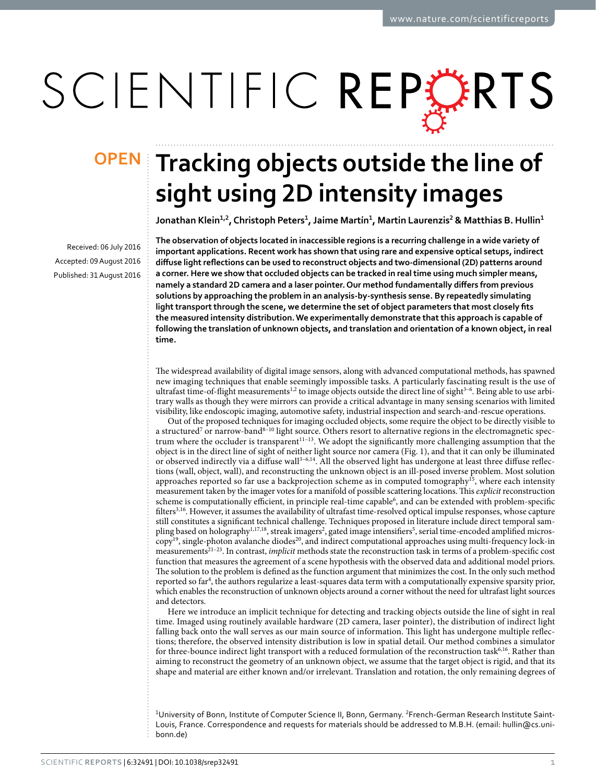# SCIENTIFIC REPERTS

received: 06 July 2016 accepted: 09 August 2016 Published: 31 August 2016

## **OPEN** Tracking objects outside the line of **sight using 2D intensity images**

**Jonathan Klein<sup>1</sup>,<sup>2</sup>, Christoph Peters1, Jaime Martín<sup>1</sup>, Martin Laurenzis<sup>2</sup> & Matthias B. Hullin<sup>1</sup>**

**The observation of objects located in inaccessible regions is a recurring challenge in a wide variety of important applications. Recent work has shown that using rare and expensive optical setups, indirect diffuse light reflections can be used to reconstruct objects and two-dimensional (2D) patterns around a corner. Here we show that occluded objects can be tracked in real time using much simpler means, namely a standard 2D camera and a laser pointer. Our method fundamentally differs from previous solutions by approaching the problem in an analysis-by-synthesis sense. By repeatedly simulating light transport through the scene, we determine the set of object parameters that most closely fits the measured intensity distribution. We experimentally demonstrate that this approach is capable of following the translation of unknown objects, and translation and orientation of a known object, in real time.**

The widespread availability of digital image sensors, along with advanced computational methods, has spawned new imaging techniques that enable seemingly impossible tasks. A particularly fascinating result is the use of ultrafast time-of-flight measurements<sup>[1,](#page-7-0)2</sup> to image objects outside the direct line of sight<sup>3-6</sup>. Being able to use arbitrary walls as though they were mirrors can provide a critical advantage in many sensing scenarios with limited visibility, like endoscopic imaging, automotive safety, industrial inspection and search-and-rescue operations.

Out of the proposed techniques for imaging occluded objects, some require the object to be directly visible to a structured<sup>[7](#page-7-3)</sup> or narrow-band<sup>8-10</sup> light source. Others resort to alternative regions in the electromagnetic spectrum where the occluder is transparent<sup>11–13</sup>. We adopt the significantly more challenging assumption that the object is in the direct line of sight of neither light source nor camera [\(Fig. 1\)](#page-1-0), and that it can only be illuminated or observed indirectly via a diffuse wall<sup>3-6,[14](#page-7-6)</sup>. All the observed light has undergone at least three diffuse reflections (wall, object, wall), and reconstructing the unknown object is an ill-posed inverse problem. Most solution approaches reported so far use a backprojection scheme as in computed tomography[15](#page-7-7), where each intensity measurement taken by the imager votes for a manifold of possible scattering locations. This *explicit* reconstruction scheme is computationally efficient, in principle real-time capable<sup>[6](#page-7-8)</sup>, and can be extended with problem-specific filters<sup>[3,](#page-7-2)16</sup>. However, it assumes the availability of ultrafast time-resolved optical impulse responses, whose capture still constitutes a significant technical challenge. Techniques proposed in literature include direct temporal sam-pling based on holography<sup>[1,](#page-7-0)[17,](#page-7-10)18</sup>, streak imagers<sup>[2](#page-7-1)</sup>, gated image intensifiers<sup>5</sup>, serial time-encoded amplified microscopy[19](#page-7-13), single-photon avalanche diode[s20,](#page-7-14) and indirect computational approaches using multi-frequency lock-in measurements[21–23](#page-7-15). In contrast, *implicit* methods state the reconstruction task in terms of a problem-specific cost function that measures the agreement of a scene hypothesis with the observed data and additional model priors. The solution to the problem is defined as the function argument that minimizes the cost. In the only such method reported so far<sup>4</sup>, the authors regularize a least-squares data term with a computationally expensive sparsity prior, which enables the reconstruction of unknown objects around a corner without the need for ultrafast light sources and detectors.

Here we introduce an implicit technique for detecting and tracking objects outside the line of sight in real time. Imaged using routinely available hardware (2D camera, laser pointer), the distribution of indirect light falling back onto the wall serves as our main source of information. This light has undergone multiple reflections; therefore, the observed intensity distribution is low in spatial detail. Our method combines a simulator for three-bounce indirect light transport with a reduced formulation of the reconstruction task<sup>[6,](#page-7-8)16</sup>. Rather than aiming to reconstruct the geometry of an unknown object, we assume that the target object is rigid, and that its shape and material are either known and/or irrelevant. Translation and rotation, the only remaining degrees of

<sup>1</sup>University of Bonn, Institute of Computer Science II, Bonn, Germany. <sup>2</sup>French-German Research Institute Saint-Louis, France. Correspondence and requests for materials should be addressed to M.B.H. (email: [hullin@cs.uni](mailto:hullin@cs.uni-bonn.de)[bonn.de\)](mailto:hullin@cs.uni-bonn.de)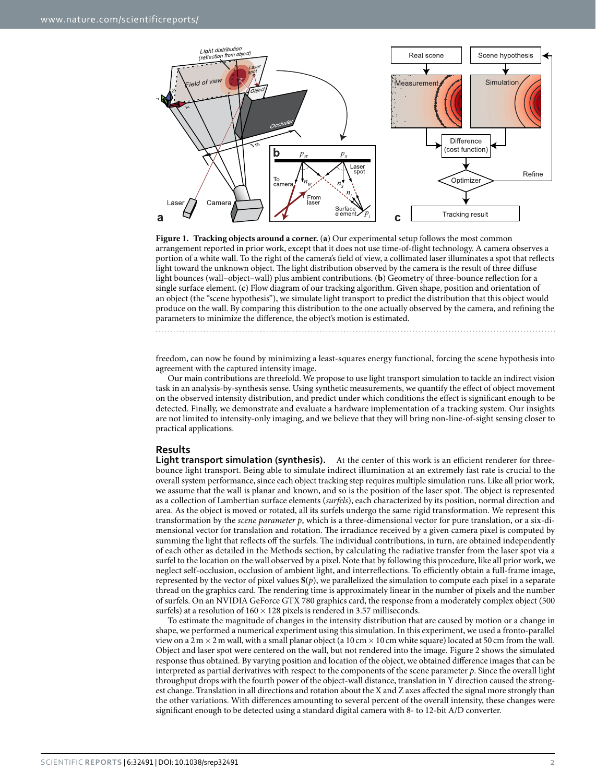

<span id="page-1-0"></span>**Figure 1. Tracking objects around a corner.** (**a**) Our experimental setup follows the most common arrangement reported in prior work, except that it does not use time-of-flight technology. A camera observes a portion of a white wall. To the right of the camera's field of view, a collimated laser illuminates a spot that reflects light toward the unknown object. The light distribution observed by the camera is the result of three diffuse light bounces (wall–object–wall) plus ambient contributions. (**b**) Geometry of three-bounce reflection for a single surface element. (**c**) Flow diagram of our tracking algorithm. Given shape, position and orientation of an object (the "scene hypothesis"), we simulate light transport to predict the distribution that this object would produce on the wall. By comparing this distribution to the one actually observed by the camera, and refining the parameters to minimize the difference, the object's motion is estimated.

freedom, can now be found by minimizing a least-squares energy functional, forcing the scene hypothesis into agreement with the captured intensity image.

Our main contributions are threefold. We propose to use light transport simulation to tackle an indirect vision task in an analysis-by-synthesis sense. Using synthetic measurements, we quantify the effect of object movement on the observed intensity distribution, and predict under which conditions the effect is significant enough to be detected. Finally, we demonstrate and evaluate a hardware implementation of a tracking system. Our insights are not limited to intensity-only imaging, and we believe that they will bring non-line-of-sight sensing closer to practical applications.

#### **Results**

Light transport simulation (synthesis). At the center of this work is an efficient renderer for threebounce light transport. Being able to simulate indirect illumination at an extremely fast rate is crucial to the overall system performance, since each object tracking step requires multiple simulation runs. Like all prior work, we assume that the wall is planar and known, and so is the position of the laser spot. The object is represented as a collection of Lambertian surface elements (*surfels*), each characterized by its position, normal direction and area. As the object is moved or rotated, all its surfels undergo the same rigid transformation. We represent this transformation by the *scene parameter p*, which is a three-dimensional vector for pure translation, or a six-dimensional vector for translation and rotation. The irradiance received by a given camera pixel is computed by summing the light that reflects off the surfels. The individual contributions, in turn, are obtained independently of each other as detailed in the Methods section, by calculating the radiative transfer from the laser spot via a surfel to the location on the wall observed by a pixel. Note that by following this procedure, like all prior work, we neglect self-occlusion, occlusion of ambient light, and interreflections. To efficiently obtain a full-frame image, represented by the vector of pixel values **S**(*p*), we parallelized the simulation to compute each pixel in a separate thread on the graphics card. The rendering time is approximately linear in the number of pixels and the number of surfels. On an NVIDIA GeForce GTX 780 graphics card, the response from a moderately complex object (500 surfels) at a resolution of  $160 \times 128$  pixels is rendered in 3.57 milliseconds.

To estimate the magnitude of changes in the intensity distribution that are caused by motion or a change in shape, we performed a numerical experiment using this simulation. In this experiment, we used a fronto-parallel view on a 2 m  $\times$  2 m wall, with a small planar object (a 10 cm  $\times$  10 cm white square) located at 50 cm from the wall. Object and laser spot were centered on the wall, but not rendered into the image. [Figure 2](#page-2-0) shows the simulated response thus obtained. By varying position and location of the object, we obtained difference images that can be interpreted as partial derivatives with respect to the components of the scene parameter *p*. Since the overall light throughput drops with the fourth power of the object-wall distance, translation in Y direction caused the strongest change. Translation in all directions and rotation about the X and Z axes affected the signal more strongly than the other variations. With differences amounting to several percent of the overall intensity, these changes were significant enough to be detected using a standard digital camera with 8- to 12-bit A/D converter.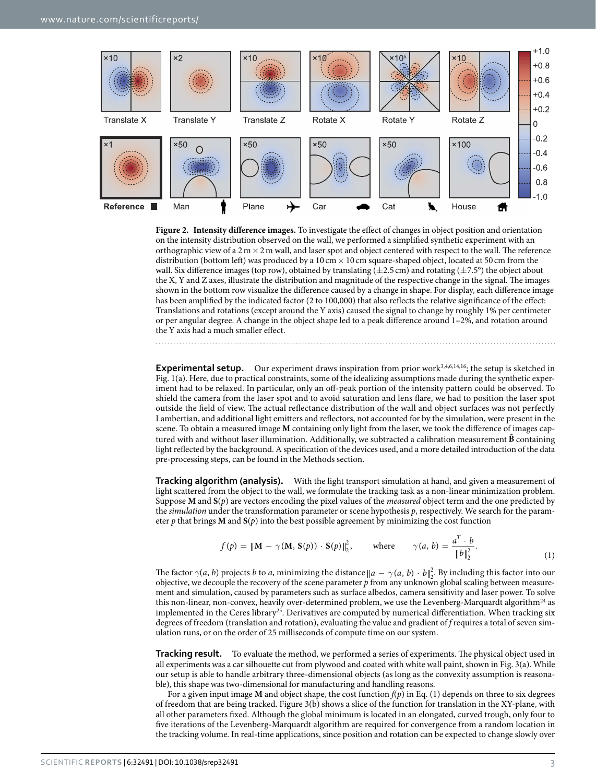

<span id="page-2-0"></span>**Figure 2. Intensity difference images.** To investigate the effect of changes in object position and orientation on the intensity distribution observed on the wall, we performed a simplified synthetic experiment with an orthographic view of a  $2 \text{ m} \times 2 \text{ m}$  wall, and laser spot and object centered with respect to the wall. The reference distribution (bottom left) was produced by a  $10 \text{ cm} \times 10 \text{ cm}$  square-shaped object, located at 50 cm from the wall. Six difference images (top row), obtained by translating  $(\pm 2.5 \text{ cm})$  and rotating  $(\pm 7.5^{\circ})$  the object about the X, Y and Z axes, illustrate the distribution and magnitude of the respective change in the signal. The images shown in the bottom row visualize the difference caused by a change in shape. For display, each difference image has been amplified by the indicated factor (2 to 100,000) that also reflects the relative significance of the effect: Translations and rotations (except around the Y axis) caused the signal to change by roughly 1% per centimeter or per angular degree. A change in the object shape led to a peak difference around 1–2%, and rotation around the Y axis had a much smaller effect.

**Experimental setup.** Our experiment draws inspiration from prior work<sup>3,[4,](#page-7-16)[6,](#page-7-8)[14](#page-7-6),16</sup>; the setup is sketched in [Fig. 1\(a\)](#page-1-0). Here, due to practical constraints, some of the idealizing assumptions made during the synthetic experiment had to be relaxed. In particular, only an off-peak portion of the intensity pattern could be observed. To shield the camera from the laser spot and to avoid saturation and lens flare, we had to position the laser spot outside the field of view. The actual reflectance distribution of the wall and object surfaces was not perfectly Lambertian, and additional light emitters and reflectors, not accounted for by the simulation, were present in the scene. To obtain a measured image **M** containing only light from the laser, we took the difference of images captured with and without laser illumination. Additionally, we subtracted a calibration measurement **Bˆ** containing light reflected by the background. A specification of the devices used, and a more detailed introduction of the data pre-processing steps, can be found in the Methods section.

**Tracking algorithm (analysis).** With the light transport simulation at hand, and given a measurement of light scattered from the object to the wall, we formulate the tracking task as a non-linear minimization problem. Suppose **M** and  $S(p)$  are vectors encoding the pixel values of the *measured* object term and the one predicted by the *simulation* under the transformation parameter or scene hypothesis *p*, respectively. We search for the parameter *p* that brings **M** and **S**(*p*) into the best possible agreement by minimizing the cost function

$$
f(p) = \|\mathbf{M} - \gamma(\mathbf{M}, \mathbf{S}(p)) \cdot \mathbf{S}(p)\|_2^2, \quad \text{where} \quad \gamma(a, b) = \frac{a^T \cdot b}{\|\|b\|_2^2}.
$$
 (1)

The factor  $\gamma(a, b)$  projects *b* to *a*, minimizing the distance  $\|a - \gamma(a, b) \cdot b\|_2^2$ . By including this factor into our objective, we decouple the recovery of the scene parameter *p* from any unknown global scaling between measurement and simulation, caused by parameters such as surface albedos, camera sensitivity and laser power. To solve this non-linear, non-convex, heavily over-determined problem, we use the Levenberg-Marquardt algorithm<sup>[24](#page-7-17)</sup> as implemented in the Ceres library<sup>25</sup>. Derivatives are computed by numerical differentiation. When tracking six degrees of freedom (translation and rotation), evaluating the value and gradient of *f* requires a total of seven simulation runs, or on the order of 25 milliseconds of compute time on our system.

**Tracking result.** To evaluate the method, we performed a series of experiments. The physical object used in all experiments was a car silhouette cut from plywood and coated with white wall paint, shown in [Fig. 3\(a\)](#page-3-0). While our setup is able to handle arbitrary three-dimensional objects (as long as the convexity assumption is reasonable), this shape was two-dimensional for manufacturing and handling reasons.

For a given input image **M** and object shape, the cost function  $f(p)$  in Eq. (1) depends on three to six degrees of freedom that are being tracked. [Figure 3\(b\)](#page-3-0) shows a slice of the function for translation in the XY-plane, with all other parameters fixed. Although the global minimum is located in an elongated, curved trough, only four to five iterations of the Levenberg-Marquardt algorithm are required for convergence from a random location in the tracking volume. In real-time applications, since position and rotation can be expected to change slowly over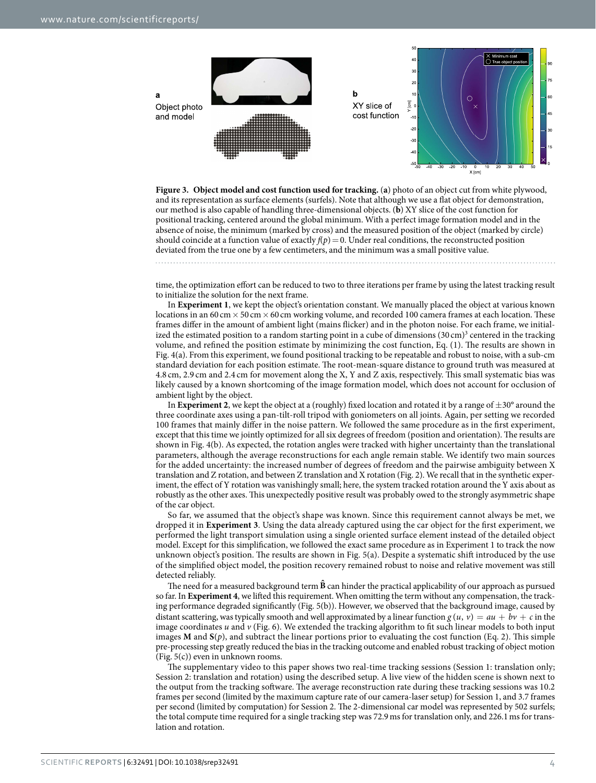

<span id="page-3-0"></span>**Figure 3. Object model and cost function used for tracking.** (**a**) photo of an object cut from white plywood, and its representation as surface elements (surfels). Note that although we use a flat object for demonstration, our method is also capable of handling three-dimensional objects. (**b**) XY slice of the cost function for positional tracking, centered around the global minimum. With a perfect image formation model and in the absence of noise, the minimum (marked by cross) and the measured position of the object (marked by circle) should coincide at a function value of exactly  $f(p) = 0$ . Under real conditions, the reconstructed position deviated from the true one by a few centimeters, and the minimum was a small positive value.

time, the optimization effort can be reduced to two to three iterations per frame by using the latest tracking result to initialize the solution for the next frame.

In **Experiment 1**, we kept the object's orientation constant. We manually placed the object at various known locations in an 60 cm  $\times$  50 cm  $\times$  60 cm working volume, and recorded 100 camera frames at each location. These frames differ in the amount of ambient light (mains flicker) and in the photon noise. For each frame, we initialized the estimated position to a random starting point in a cube of dimensions  $(30 \text{ cm})^3$  centered in the tracking volume, and refined the position estimate by minimizing the cost function, Eq. (1). The results are shown in [Fig. 4\(a\)](#page-4-0). From this experiment, we found positional tracking to be repeatable and robust to noise, with a sub-cm standard deviation for each position estimate. The root-mean-square distance to ground truth was measured at 4.8 cm, 2.9 cm and 2.4 cm for movement along the X, Y and Z axis, respectively. This small systematic bias was likely caused by a known shortcoming of the image formation model, which does not account for occlusion of ambient light by the object.

In **Experiment 2**, we kept the object at a (roughly) fixed location and rotated it by a range of  $\pm 30^\circ$  around the three coordinate axes using a pan-tilt-roll tripod with goniometers on all joints. Again, per setting we recorded 100 frames that mainly differ in the noise pattern. We followed the same procedure as in the first experiment, except that this time we jointly optimized for all six degrees of freedom (position and orientation). The results are shown in [Fig. 4\(b\)](#page-4-0). As expected, the rotation angles were tracked with higher uncertainty than the translational parameters, although the average reconstructions for each angle remain stable. We identify two main sources for the added uncertainty: the increased number of degrees of freedom and the pairwise ambiguity between X translation and Z rotation, and between Z translation and X rotation ([Fig. 2](#page-2-0)). We recall that in the synthetic experiment, the effect of Y rotation was vanishingly small; here, the system tracked rotation around the Y axis about as robustly as the other axes. This unexpectedly positive result was probably owed to the strongly asymmetric shape of the car object.

So far, we assumed that the object's shape was known. Since this requirement cannot always be met, we dropped it in **Experiment 3**. Using the data already captured using the car object for the first experiment, we performed the light transport simulation using a single oriented surface element instead of the detailed object model. Except for this simplification, we followed the exact same procedure as in Experiment 1 to track the now unknown object's position. The results are shown in [Fig. 5\(a\)](#page-5-0). Despite a systematic shift introduced by the use of the simplified object model, the position recovery remained robust to noise and relative movement was still detected reliably.

The need for a measured background term **Bˆ** can hinder the practical applicability of our approach as pursued so far. In **Experiment 4**, we lifted this requirement. When omitting the term without any compensation, the tracking performance degraded significantly ([Fig. 5\(b\)](#page-5-0)). However, we observed that the background image, caused by distant scattering, was typically smooth and well approximated by a linear function  $g(u, v) = au + bv + c$  in the image coordinates *u* and *v* [\(Fig. 6](#page-6-0)). We extended the tracking algorithm to fit such linear models to both input images **M** and  $S(p)$ , and subtract the linear portions prior to evaluating the cost function (Eq. 2). This simple pre-processing step greatly reduced the bias in the tracking outcome and enabled robust tracking of object motion ([Fig. 5\(c\)](#page-5-0)) even in unknown rooms.

The supplementary video to this paper shows two real-time tracking sessions (Session 1: translation only; Session 2: translation and rotation) using the described setup. A live view of the hidden scene is shown next to the output from the tracking software. The average reconstruction rate during these tracking sessions was 10.2 frames per second (limited by the maximum capture rate of our camera-laser setup) for Session 1, and 3.7 frames per second (limited by computation) for Session 2. The 2-dimensional car model was represented by 502 surfels; the total compute time required for a single tracking step was 72.9 ms for translation only, and 226.1 ms for translation and rotation.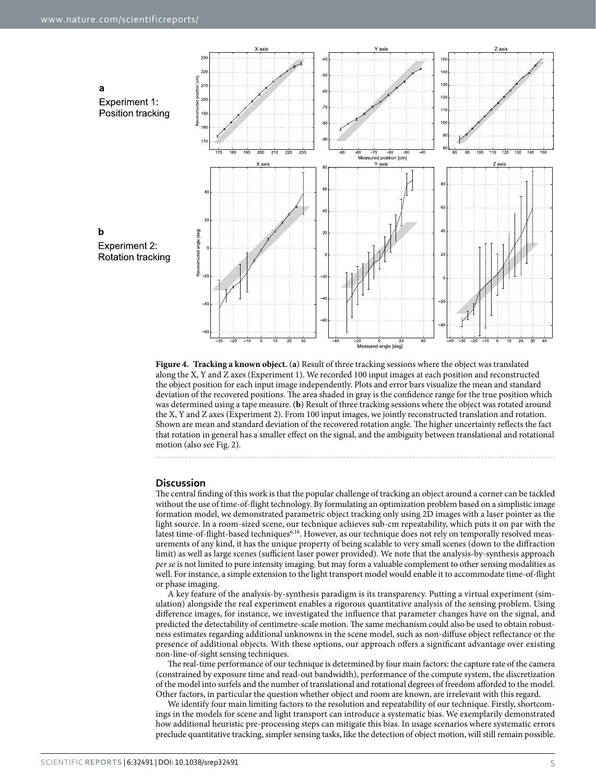

<span id="page-4-0"></span>**Figure 4. Tracking a known object.** (**a**) Result of three tracking sessions where the object was translated along the X, Y and Z axes (Experiment 1). We recorded 100 input images at each position and reconstructed the object position for each input image independently. Plots and error bars visualize the mean and standard deviation of the recovered positions. The area shaded in gray is the confidence range for the true position which was determined using a tape measure. (**b**) Result of three tracking sessions where the object was rotated around the X, Y and Z axes (Experiment 2). From 100 input images, we jointly reconstructed translation and rotation. Shown are mean and standard deviation of the recovered rotation angle. The higher uncertainty reflects the fact that rotation in general has a smaller effect on the signal, and the ambiguity between translational and rotational motion (also see [Fig. 2\)](#page-2-0).

#### **Discussion**

The central finding of this work is that the popular challenge of tracking an object around a corner can be tackled without the use of time-of-flight technology. By formulating an optimization problem based on a simplistic image formation model, we demonstrated parametric object tracking only using 2D images with a laser pointer as the light source. In a room-sized scene, our technique achieves sub-cm repeatability, which puts it on par with the latest time-of-flight-based techniques<sup>[6,](#page-7-8)16</sup>. However, as our technique does not rely on temporally resolved measurements of any kind, it has the unique property of being scalable to very small scenes (down to the diffraction limit) as well as large scenes (sufficient laser power provided). We note that the analysis-by-synthesis approach *per se* is not limited to pure intensity imaging. but may form a valuable complement to other sensing modalities as well. For instance, a simple extension to the light transport model would enable it to accommodate time-of-flight or phase imaging.

A key feature of the analysis-by-synthesis paradigm is its transparency. Putting a virtual experiment (simulation) alongside the real experiment enables a rigorous quantitative analysis of the sensing problem. Using difference images, for instance, we investigated the influence that parameter changes have on the signal, and predicted the detectability of centimetre-scale motion. The same mechanism could also be used to obtain robustness estimates regarding additional unknowns in the scene model, such as non-diffuse object reflectance or the presence of additional objects. With these options, our approach offers a significant advantage over existing non-line-of-sight sensing techniques.

The real-time performance of our technique is determined by four main factors: the capture rate of the camera (constrained by exposure time and read-out bandwidth), performance of the compute system, the discretization of the model into surfels and the number of translational and rotational degrees of freedom afforded to the model. Other factors, in particular the question whether object and room are known, are irrelevant with this regard.

We identify four main limiting factors to the resolution and repeatability of our technique. Firstly, shortcomings in the models for scene and light transport can introduce a systematic bias. We exemplarily demonstrated how additional heuristic pre-processing steps can mitigate this bias. In usage scenarios where systematic errors preclude quantitative tracking, simpler sensing tasks, like the detection of object motion, will still remain possible.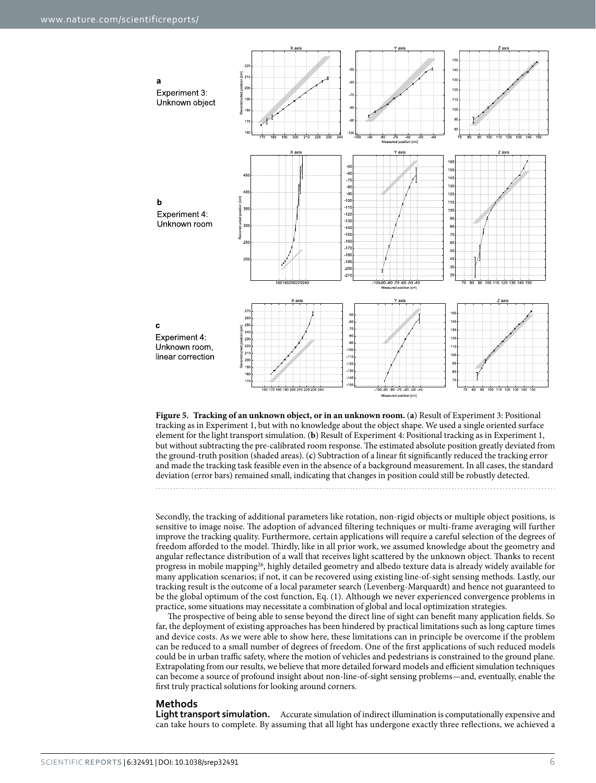

<span id="page-5-0"></span>

Secondly, the tracking of additional parameters like rotation, non-rigid objects or multiple object positions, is sensitive to image noise. The adoption of advanced filtering techniques or multi-frame averaging will further improve the tracking quality. Furthermore, certain applications will require a careful selection of the degrees of freedom afforded to the model. Thirdly, like in all prior work, we assumed knowledge about the geometry and angular reflectance distribution of a wall that receives light scattered by the unknown object. Thanks to recent progress in mobile mapping[26](#page-7-19), highly detailed geometry and albedo texture data is already widely available for many application scenarios; if not, it can be recovered using existing line-of-sight sensing methods. Lastly, our tracking result is the outcome of a local parameter search (Levenberg-Marquardt) and hence not guaranteed to be the global optimum of the cost function, Eq. (1). Although we never experienced convergence problems in practice, some situations may necessitate a combination of global and local optimization strategies.

The prospective of being able to sense beyond the direct line of sight can benefit many application fields. So far, the deployment of existing approaches has been hindered by practical limitations such as long capture times and device costs. As we were able to show here, these limitations can in principle be overcome if the problem can be reduced to a small number of degrees of freedom. One of the first applications of such reduced models could be in urban traffic safety, where the motion of vehicles and pedestrians is constrained to the ground plane. Extrapolating from our results, we believe that more detailed forward models and efficient simulation techniques can become a source of profound insight about non-line-of-sight sensing problems—and, eventually, enable the first truly practical solutions for looking around corners.

#### **Methods**

**Light transport simulation.** Accurate simulation of indirect illumination is computationally expensive and can take hours to complete. By assuming that all light has undergone exactly three reflections, we achieved a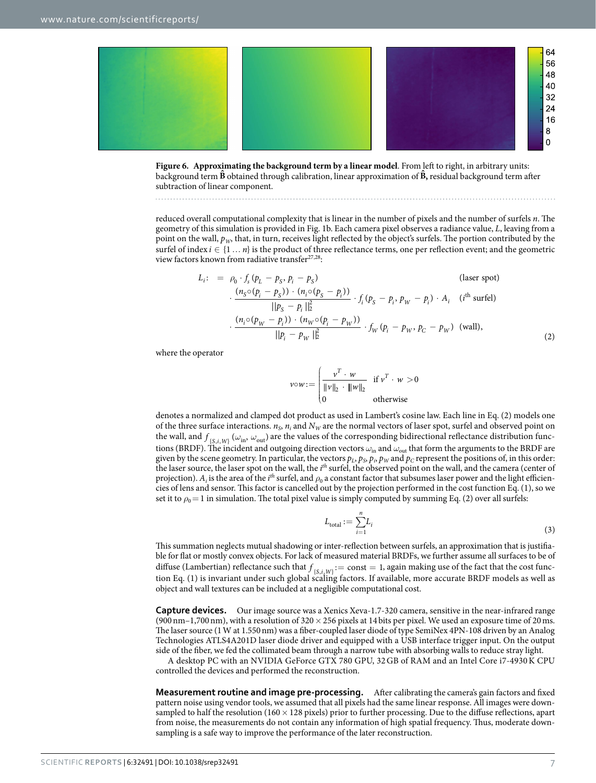

<span id="page-6-0"></span>**Figure 6. Approximating the background term by a linear model**. From left to right, in arbitrary units: background term **Bˆ** obtained through calibration, linear approximation of **Bˆ,** residual background term after subtraction of linear component.

reduced overall computational complexity that is linear in the number of pixels and the number of surfels *n*. The geometry of this simulation is provided in [Fig. 1b](#page-1-0). Each camera pixel observes a radiance value, *L*, leaving from a point on the wall,  $p_W$ , that, in turn, receives light reflected by the object's surfels. The portion contributed by the surfel of index  $i \in \{1 \dots n\}$  is the product of three reflectance terms, one per reflection event; and the geometric view factors known from radiative transfer<sup>[27](#page-7-20),[28](#page-7-21)</sup>:

$$
L_{i}: = \rho_{0} \cdot f_{s} (p_{L} - p_{s}, p_{i} - p_{s})
$$
 (laser spot)  
\n
$$
\cdot \frac{(n_{S} \circ (p_{i} - p_{s})) \cdot (n_{i} \circ (p_{S} - p_{i}))}{||p_{S} - p_{i}||_{2}^{2}} \cdot f_{i} (p_{S} - p_{i}, p_{W} - p_{i}) \cdot A_{i}
$$
 (i<sup>th</sup> surfel)  
\n
$$
\cdot \frac{(n_{i} \circ (p_{W} - p_{i})) \cdot (n_{W} \circ (p_{i} - p_{W}))}{||p_{i} - p_{W}||_{2}^{2}} \cdot f_{W} (p_{i} - p_{W}, p_{C} - p_{W})
$$
 (wall), (2)

where the operator

$$
v \circ w := \begin{cases} \frac{v^T \cdot w}{\|v\|_2 \cdot \|w\|_2} & \text{if } v^T \cdot w > 0 \\ 0 & \text{otherwise} \end{cases}
$$

denotes a normalized and clamped dot product as used in Lambert's cosine law. Each line in Eq. (2) models one of the three surface interactions.  $n_S$ ,  $n_i$  and  $N_W$  are the normal vectors of laser spot, surfel and observed point on the wall, and  $f_{\{S,i,W\}}(\omega_{\text{in}}, \omega_{\text{out}})$  are the values of the corresponding bidirectional reflectance distribution functions (BRDF). The incident and outgoing direction vectors  $\omega_{\text{in}}$  and  $\omega_{\text{out}}$  that form the arguments to the BRDF are given by the scene geometry. In particular, the vectors  $p_L$ ,  $p_S$ ,  $p_p$ ,  $p_W$  and  $p_C$  represent the positions of, in this order: the laser source, the laser spot on the wall, the *i*<sup>th</sup> surfel, the observed point on the wall, and the camera (center of projection).  $A_i$  is the area of the *i<sup>th</sup>* surfel, and  $\rho_0$  a constant factor that subsumes laser power and the light efficiencies of lens and sensor. This factor is cancelled out by the projection performed in the cost function Eq. (1), so we set it to  $\rho_0 = 1$  in simulation. The total pixel value is simply computed by summing Eq. (2) over all surfels:

$$
L_{\text{total}} := \sum_{i=1}^{n} L_i \tag{3}
$$

This summation neglects mutual shadowing or inter-reflection between surfels, an approximation that is justifiable for flat or mostly convex objects. For lack of measured material BRDFs, we further assume all surfaces to be of diffuse (Lambertian) reflectance such that  $f_{\{S,i,W\}}:=$  const = 1, again making use of the fact that the cost function Eq. (1) is invariant under such global scaling factors. If available, more accurate BRDF models as well as object and wall textures can be included at a negligible computational cost.

**Capture devices.** Our image source was a Xenics Xeva-1.7-320 camera, sensitive in the near-infrared range (900 nm–1,700 nm), with a resolution of  $320 \times 256$  pixels at 14 bits per pixel. We used an exposure time of 20 ms. The laser source (1W at 1.550nm) was a fiber-coupled laser diode of type SemiNex 4PN-108 driven by an Analog Technologies ATLS4A201D laser diode driver and equipped with a USB interface trigger input. On the output side of the fiber, we fed the collimated beam through a narrow tube with absorbing walls to reduce stray light.

A desktop PC with an NVIDIA GeForce GTX 780 GPU, 32GB of RAM and an Intel Core i7-4930K CPU controlled the devices and performed the reconstruction.

**Measurement routine and image pre-processing.** After calibrating the camera's gain factors and fixed pattern noise using vendor tools, we assumed that all pixels had the same linear response. All images were downsampled to half the resolution (160  $\times$  128 pixels) prior to further processing. Due to the diffuse reflections, apart from noise, the measurements do not contain any information of high spatial frequency. Thus, moderate downsampling is a safe way to improve the performance of the later reconstruction.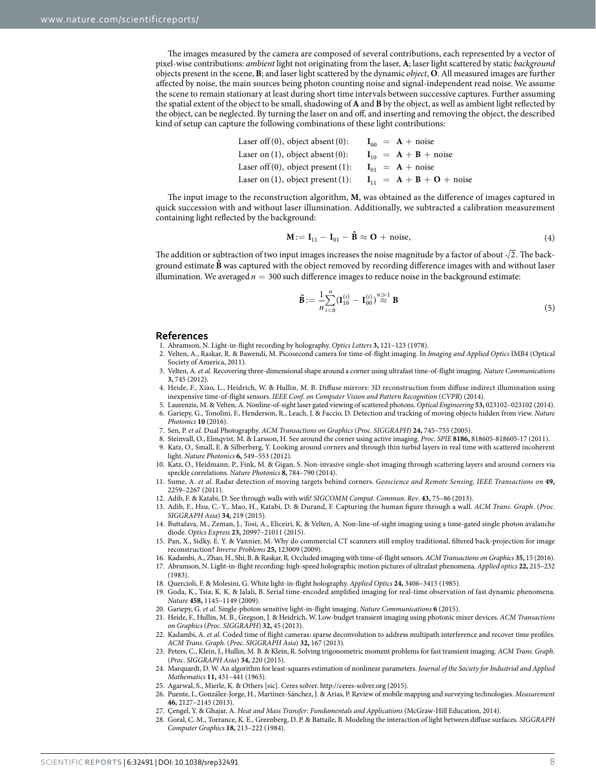The images measured by the camera are composed of several contributions, each represented by a vector of pixel-wise contributions: *ambient* light not originating from the laser, **A**; laser light scattered by static *background* objects present in the scene, **B**; and laser light scattered by the dynamic *object*, **O**. All measured images are further affected by noise, the main sources being photon counting noise and signal-independent read noise. We assume the scene to remain stationary at least during short time intervals between successive captures. Further assuming the spatial extent of the object to be small, shadowing of **A** and **B** by the object, as well as ambient light reflected by the object, can be neglected. By turning the laser on and off, and inserting and removing the object, the described kind of setup can capture the following combinations of these light contributions:

| Laser of $f(0)$ , object absent $(0)$ :  | $I_{00}$ = A + noise              |
|------------------------------------------|-----------------------------------|
| Laser on $(1)$ , object absent $(0)$ :   | $I_{10}$ = $A + B + \text{noise}$ |
| Laser of $f(0)$ , object present $(1)$ : | $I_{01}$ = A + noise              |
| Laser on $(1)$ , object present $(1)$ :  | $I_{11}$ = $A + B + O +$ noise    |

The input image to the reconstruction algorithm, **M**, was obtained as the difference of images captured in quick succession with and without laser illumination. Additionally, we subtracted a calibration measurement containing light reflected by the background:

$$
\mathbf{M} := \mathbf{I}_{11} - \mathbf{I}_{01} - \hat{\mathbf{B}} \approx \mathbf{O} + \text{noise},\tag{4}
$$

The addition or subtraction of two input images increases the noise magnitude by a factor of about  $\sqrt{2}$ . The background estimate **Bˆ** was captured with the object removed by recording difference images with and without laser illumination. We averaged  $n = 300$  such difference images to reduce noise in the background estimate:

$$
\hat{\mathbf{B}} := \frac{1}{n} \sum_{i=0}^{n} (\mathbf{I}_{10}^{(i)} - \mathbf{I}_{00}^{(i)})^{\frac{n}{\infty}} \mathbf{B}
$$
\n(5)

#### **References**

- <span id="page-7-0"></span>1. Abramson, N. Light-in-flight recording by holography. *Optics Letters* **3,** 121–123 (1978).
- <span id="page-7-1"></span>2. Velten, A., Raskar, R. & Bawendi, M. Picosecond camera for time-of-flight imaging. In *Imaging and Applied Optics* IMB4 (Optical Society of America, 2011).
- <span id="page-7-2"></span>3. Velten, A. *et al.* Recovering three-dimensional shape around a corner using ultrafast time-of-flight imaging. *Nature Communications* **3,** 745 (2012).
- <span id="page-7-16"></span>4. Heide, F., Xiao, L., Heidrich, W. & Hullin, M. B. Diffuse mirrors: 3D reconstruction from diffuse indirect illumination using inexpensive time-of-flight sensors. *IEEE Conf*. *on Computer Vision and Pattern Recognition* (*CVPR*) (2014).
- <span id="page-7-12"></span><span id="page-7-8"></span>5. Laurenzis, M. & Velten, A. Nonline-of-sight laser gated viewing of scattered photons. *Optical Engineering* **53,** 023102–023102 (2014). 6. Gariepy, G., Tonolini, F., Henderson, R., Leach, J. & Faccio, D. Detection and tracking of moving objects hidden from view. *Nature Photonics* **10** (2016).
- <span id="page-7-3"></span>7. Sen, P. *et al.* Dual Photography. *ACM Transactions on Graphics* (*Proc*. *SIGGRAPH*) **24,** 745–755 (2005).
- <span id="page-7-4"></span>8. Steinvall, O., Elmqvist, M. & Larsson, H. See around the corner using active imaging. *Proc*. *SPIE* **8186,** 818605-818605-17 (2011).
- 9. Katz, O., Small, E. & Silberberg, Y. Looking around corners and through thin turbid layers in real time with scattered incoherent light. *Nature Photonics* **6,** 549–553 (2012).
- 10. Katz, O., Heidmann, P., Fink, M. & Gigan, S. Non-invasive single-shot imaging through scattering layers and around corners via speckle correlations. *Nature Photonics* **8,** 784–790 (2014).
- <span id="page-7-5"></span>11. Sume, A. *et al.* Radar detection of moving targets behind corners. *Geoscience and Remote Sensing, IEEE Transactions on* **49,** 2259–2267 (2011).
- 12. Adib, F. & Katabi, D. See through walls with wifi! *SIGCOMM Comput*. *Commun*. *Rev*. **43,** 75–86 (2013).
- 13. Adib, F., Hsu, C.-Y., Mao, H., Katabi, D. & Durand, F. Capturing the human figure through a wall. *ACM Trans*. *Graph*. (*Proc*. *SIGGRAPH Asia*) **34,** 219 (2015).
- <span id="page-7-6"></span>14. Buttafava, M., Zeman, J., Tosi, A., Eliceiri, K. & Velten, A. Non-line-of-sight imaging using a time-gated single photon avalanche diode. *Optics Express* **23,** 20997–21011 (2015).
- <span id="page-7-7"></span>15. Pan, X., Sidky, E. Y. & Vannier, M. Why do commercial CT scanners still employ traditional, filtered back-projection for image reconstruction? *Inverse Problems* **25,** 123009 (2009).
- <span id="page-7-9"></span>16. Kadambi, A., Zhao, H., Shi, B. & Raskar, R. Occluded imaging with time-of-flight sensors. *ACM Transactions on Graphics* **35,** 15 (2016).
- <span id="page-7-10"></span>17. Abramson, N. Light-in-flight recording: high-speed holographic motion pictures of ultrafast phenomena. *Applied optics* **22,** 215–232 (1983).
- <span id="page-7-13"></span><span id="page-7-11"></span>18. Quercioli, F. & Molesini, G. White light-in-flight holography. *Applied Optics* **24,** 3406–3415 (1985).
- 19. Goda, K., Tsia, K. K. & Jalali, B. Serial time-encoded amplified imaging for real-time observation of fast dynamic phenomena. *Nature* **458,** 1145–1149 (2009).
- <span id="page-7-14"></span>20. Gariepy, G. *et al.* Single-photon sensitive light-in-flight imaging. *Nature Communications* **6** (2015).
- <span id="page-7-15"></span>21. Heide, F., Hullin, M. B., Gregson, J. & Heidrich, W. Low-budget transient imaging using photonic mixer devices. *ACM Transactions on Graphics* (*Proc*. *SIGGRAPH*) **32,** 45 (2013).
- 22. Kadambi, A. *et al.* Coded time of flight cameras: sparse deconvolution to address multipath interference and recover time profiles. *ACM Trans*. *Graph*. (*Proc*. *SIGGRAPH Asia*) **32,** 167 (2013).
- 23. Peters, C., Klein, J., Hullin, M. B. & Klein, R. Solving trigonometric moment problems for fast transient imaging. *ACM Trans*. *Graph*. (*Proc*. *SIGGRAPH Asia*) **34,** 220 (2015).
- <span id="page-7-17"></span>24. Marquardt, D. W. An algorithm for least-squares estimation of nonlinear parameters. *Journal of the Society for Industrial and Applied Mathematics* **11,** 431–441 (1963).
- <span id="page-7-18"></span>25. Agarwal, S., Mierle, K. & Others [sic]. Ceres solver.<http://ceres-solver.org>(2015).
- <span id="page-7-19"></span>26. Puente, I., González-Jorge, H., Martínez-Sánchez, J. & Arias, P. Review of mobile mapping and surveying technologies. *Measurement* **46,** 2127–2145 (2013).
- <span id="page-7-20"></span>27. Çengel, Y. & Ghajar, A. *Heat and Mass Transfer: Fundamentals and Applications* (McGraw-Hill Education, 2014).
- <span id="page-7-21"></span>28. Goral, C. M., Torrance, K. E., Greenberg, D. P. & Battaile, B. Modeling the interaction of light between diffuse surfaces. *SIGGRAPH Computer Graphics* **18,** 213–222 (1984).